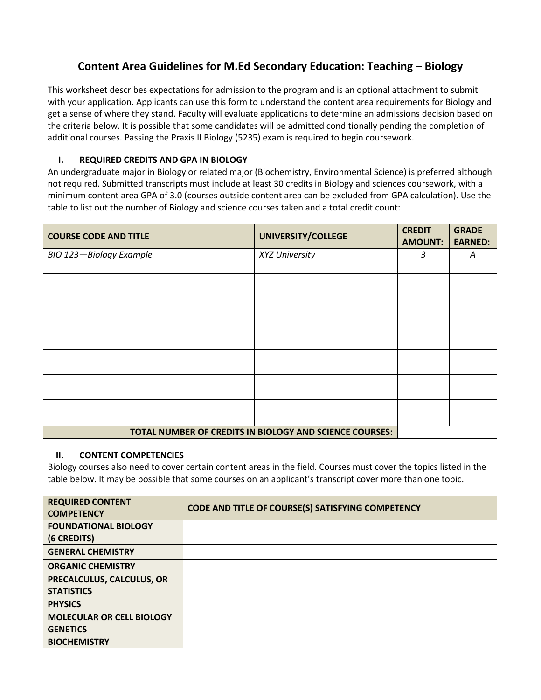## **Content Area Guidelines for M.Ed Secondary Education: Teaching – Biology**

This worksheet describes expectations for admission to the program and is an optional attachment to submit with your application. Applicants can use this form to understand the content area requirements for Biology and get a sense of where they stand. Faculty will evaluate applications to determine an admissions decision based on the criteria below. It is possible that some candidates will be admitted conditionally pending the completion of additional courses. Passing the Praxis II Biology (5235) exam is required to begin coursework.

## **I. REQUIRED CREDITS AND GPA IN BIOLOGY**

An undergraduate major in Biology or related major (Biochemistry, Environmental Science) is preferred although not required. Submitted transcripts must include at least 30 credits in Biology and sciences coursework, with a minimum content area GPA of 3.0 (courses outside content area can be excluded from GPA calculation). Use the table to list out the number of Biology and science courses taken and a total credit count:

| <b>COURSE CODE AND TITLE</b> | UNIVERSITY/COLLEGE                                      | <b>CREDIT</b><br><b>AMOUNT:</b> | <b>GRADE</b><br><b>EARNED:</b> |
|------------------------------|---------------------------------------------------------|---------------------------------|--------------------------------|
| BIO 123-Biology Example      | XYZ University                                          | 3                               | A                              |
|                              |                                                         |                                 |                                |
|                              |                                                         |                                 |                                |
|                              |                                                         |                                 |                                |
|                              |                                                         |                                 |                                |
|                              |                                                         |                                 |                                |
|                              |                                                         |                                 |                                |
|                              |                                                         |                                 |                                |
|                              |                                                         |                                 |                                |
|                              |                                                         |                                 |                                |
|                              |                                                         |                                 |                                |
|                              |                                                         |                                 |                                |
|                              |                                                         |                                 |                                |
|                              |                                                         |                                 |                                |
|                              | TOTAL NUMBER OF CREDITS IN BIOLOGY AND SCIENCE COURSES: |                                 |                                |

## **II. CONTENT COMPETENCIES**

Biology courses also need to cover certain content areas in the field. Courses must cover the topics listed in the table below. It may be possible that some courses on an applicant's transcript cover more than one topic.

| <b>REQUIRED CONTENT</b><br><b>COMPETENCY</b> | CODE AND TITLE OF COURSE(S) SATISFYING COMPETENCY |
|----------------------------------------------|---------------------------------------------------|
| <b>FOUNDATIONAL BIOLOGY</b>                  |                                                   |
| (6 CREDITS)                                  |                                                   |
| <b>GENERAL CHEMISTRY</b>                     |                                                   |
| <b>ORGANIC CHEMISTRY</b>                     |                                                   |
| PRECALCULUS, CALCULUS, OR                    |                                                   |
| <b>STATISTICS</b>                            |                                                   |
| <b>PHYSICS</b>                               |                                                   |
| <b>MOLECULAR OR CELL BIOLOGY</b>             |                                                   |
| <b>GENETICS</b>                              |                                                   |
| <b>BIOCHEMISTRY</b>                          |                                                   |